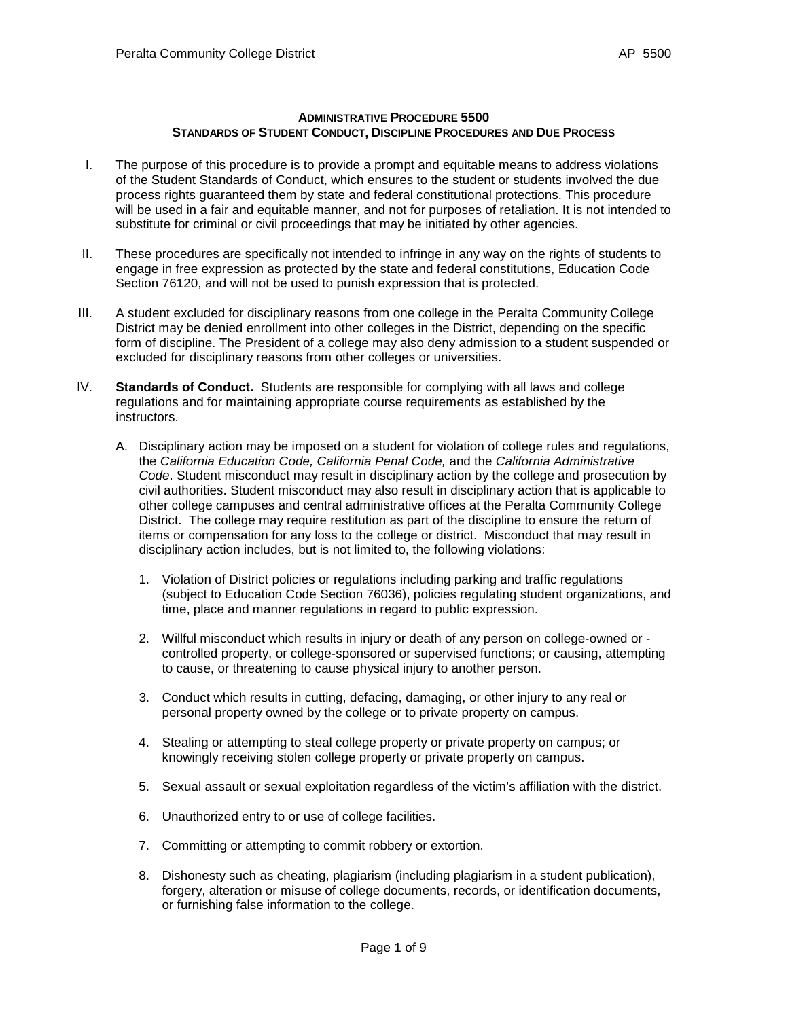## **ADMINISTRATIVE PROCEDURE 5500 STANDARDS OF STUDENT CONDUCT, DISCIPLINE PROCEDURES AND DUE PROCESS**

- I. The purpose of this procedure is to provide a prompt and equitable means to address violations of the Student Standards of Conduct, which ensures to the student or students involved the due process rights guaranteed them by state and federal constitutional protections. This procedure will be used in a fair and equitable manner, and not for purposes of retaliation. It is not intended to substitute for criminal or civil proceedings that may be initiated by other agencies.
- II. These procedures are specifically not intended to infringe in any way on the rights of students to engage in free expression as protected by the state and federal constitutions, Education Code Section 76120, and will not be used to punish expression that is protected.
- III. A student excluded for disciplinary reasons from one college in the Peralta Community College District may be denied enrollment into other colleges in the District, depending on the specific form of discipline. The President of a college may also deny admission to a student suspended or excluded for disciplinary reasons from other colleges or universities.
- IV. **Standards of Conduct.** Students are responsible for complying with all laws and college regulations and for maintaining appropriate course requirements as established by the instructors.
	- A. Disciplinary action may be imposed on a student for violation of college rules and regulations, the *California Education Code, California Penal Code,* and the *California Administrative Code*. Student misconduct may result in disciplinary action by the college and prosecution by civil authorities. Student misconduct may also result in disciplinary action that is applicable to other college campuses and central administrative offices at the Peralta Community College District. The college may require restitution as part of the discipline to ensure the return of items or compensation for any loss to the college or district. Misconduct that may result in disciplinary action includes, but is not limited to, the following violations:
		- 1. Violation of District policies or regulations including parking and traffic regulations (subject to Education Code Section 76036), policies regulating student organizations, and time, place and manner regulations in regard to public expression.
		- 2. Willful misconduct which results in injury or death of any person on college-owned or controlled property, or college-sponsored or supervised functions; or causing, attempting to cause, or threatening to cause physical injury to another person.
		- 3. Conduct which results in cutting, defacing, damaging, or other injury to any real or personal property owned by the college or to private property on campus.
		- 4. Stealing or attempting to steal college property or private property on campus; or knowingly receiving stolen college property or private property on campus.
		- 5. Sexual assault or sexual exploitation regardless of the victim's affiliation with the district.
		- 6. Unauthorized entry to or use of college facilities.
		- 7. Committing or attempting to commit robbery or extortion.
		- 8. Dishonesty such as cheating, plagiarism (including plagiarism in a student publication), forgery, alteration or misuse of college documents, records, or identification documents, or furnishing false information to the college.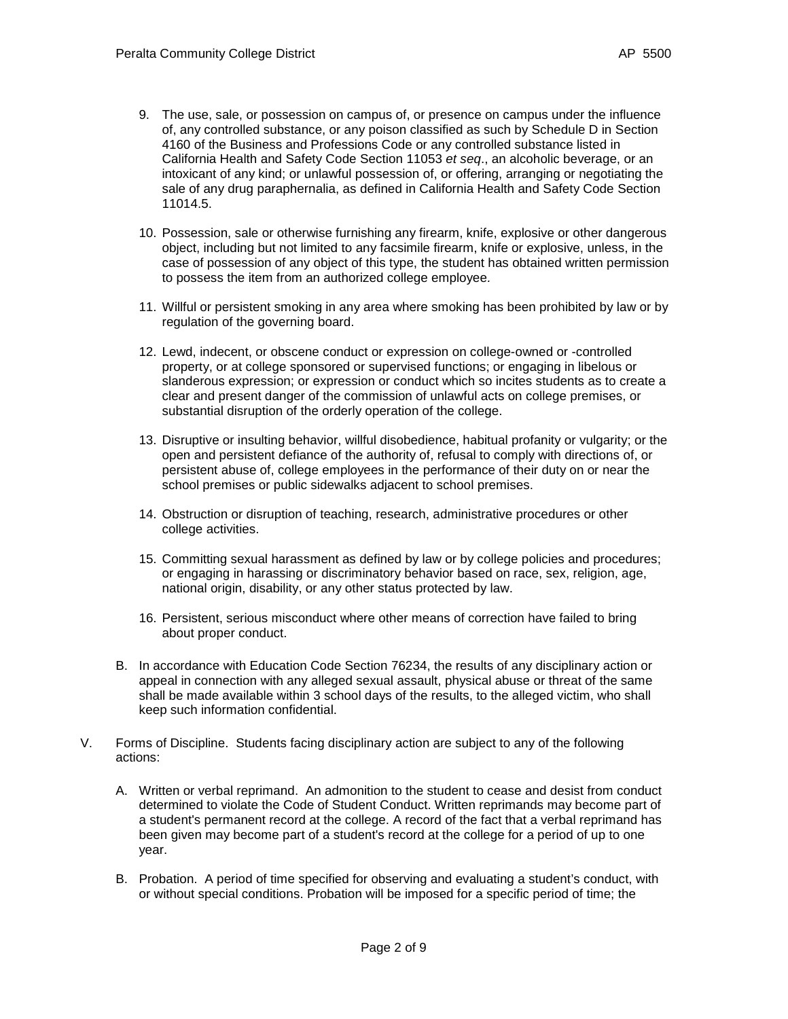- 9. The use, sale, or possession on campus of, or presence on campus under the influence of, any controlled substance, or any poison classified as such by Schedule D in [Section](http://web2.westlaw.com/find/default.wl?DB=1000199&DocName=CABPS4160&FindType=L&AP=&mt=California&fn=_top&sv=Split&utid=%7bD1E4C96D-8701-4FED-AE96-CE48A444ED96%7d&vr=2.0&rs=WLW5.05)  [4160 of the Business and Professions Code](http://web2.westlaw.com/find/default.wl?DB=1000199&DocName=CABPS4160&FindType=L&AP=&mt=California&fn=_top&sv=Split&utid=%7bD1E4C96D-8701-4FED-AE96-CE48A444ED96%7d&vr=2.0&rs=WLW5.05) or any controlled substance listed in California Health and Safety Code Section 11053 *et seq*., an alcoholic beverage, or an intoxicant of any kind; or unlawful possession of, or offering, arranging or negotiating the sale of any drug paraphernalia, as defined in California Health and Safety Code Section 11014.5.
- 10. Possession, sale or otherwise furnishing any firearm, knife, explosive or other dangerous object, including but not limited to any facsimile firearm, knife or explosive, unless, in the case of possession of any object of this type, the student has obtained written permission to possess the item from an authorized college employee*.*
- 11. Willful or persistent smoking in any area where smoking has been prohibited by law or by regulation of the governing board.
- 12. Lewd, indecent, or obscene conduct or expression on college-owned or -controlled property, or at college sponsored or supervised functions; or engaging in libelous or slanderous expression; or expression or conduct which so incites students as to create a clear and present danger of the commission of unlawful acts on college premises, or substantial disruption of the orderly operation of the college.
- 13. Disruptive or insulting behavior, willful disobedience, habitual profanity or vulgarity; or the open and persistent defiance of the authority of, refusal to comply with directions of, or persistent abuse of, college employees in the performance of their duty on or near the school premises or public sidewalks adjacent to school premises.
- 14. Obstruction or disruption of teaching, research, administrative procedures or other college activities.
- 15. Committing sexual harassment as defined by law or by college policies and procedures; or engaging in harassing or discriminatory behavior based on race, sex, religion, age, national origin, disability, or any other status protected by law.
- 16. Persistent, serious misconduct where other means of correction have failed to bring about proper conduct.
- B. In accordance with Education Code Section 76234, the results of any disciplinary action or appeal in connection with any alleged sexual assault, physical abuse or threat of the same shall be made available within 3 school days of the results, to the alleged victim, who shall keep such information confidential.
- V. Forms of Discipline. Students facing disciplinary action are subject to any of the following actions:
	- A. Written or verbal reprimand. An admonition to the student to cease and desist from conduct determined to violate the Code of Student Conduct. Written reprimands may become part of a student's permanent record at the college. A record of the fact that a verbal reprimand has been given may become part of a student's record at the college for a period of up to one year.
	- B. Probation. A period of time specified for observing and evaluating a student's conduct, with or without special conditions. Probation will be imposed for a specific period of time; the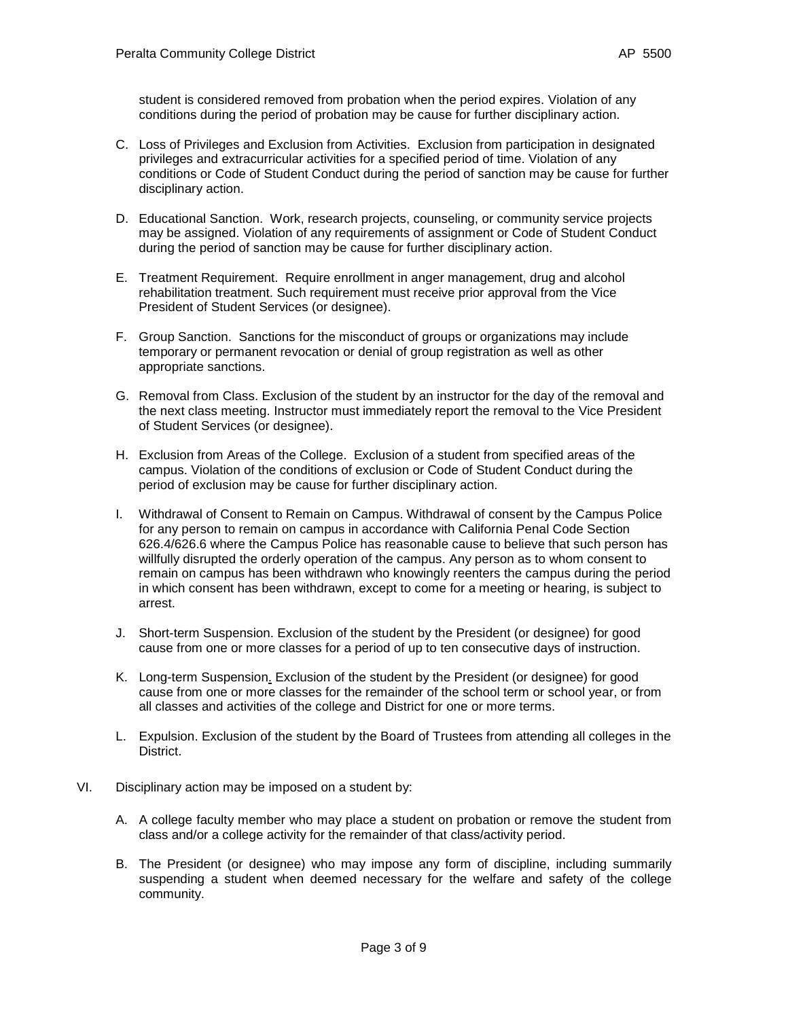student is considered removed from probation when the period expires. Violation of any conditions during the period of probation may be cause for further disciplinary action.

- C. Loss of Privileges and Exclusion from Activities. Exclusion from participation in designated privileges and extracurricular activities for a specified period of time. Violation of any conditions or Code of Student Conduct during the period of sanction may be cause for further disciplinary action.
- D. Educational Sanction. Work, research projects, counseling, or community service projects may be assigned. Violation of any requirements of assignment or Code of Student Conduct during the period of sanction may be cause for further disciplinary action.
- E. Treatment Requirement. Require enrollment in anger management, drug and alcohol rehabilitation treatment. Such requirement must receive prior approval from the Vice President of Student Services (or designee).
- F. Group Sanction. Sanctions for the misconduct of groups or organizations may include temporary or permanent revocation or denial of group registration as well as other appropriate sanctions.
- G. Removal from Class. Exclusion of the student by an instructor for the day of the removal and the next class meeting. Instructor must immediately report the removal to the Vice President of Student Services (or designee).
- H. Exclusion from Areas of the College. Exclusion of a student from specified areas of the campus. Violation of the conditions of exclusion or Code of Student Conduct during the period of exclusion may be cause for further disciplinary action.
- I. Withdrawal of Consent to Remain on Campus. Withdrawal of consent by the Campus Police for any person to remain on campus in accordance with California Penal Code Section 626.4/626.6 where the Campus Police has reasonable cause to believe that such person has willfully disrupted the orderly operation of the campus. Any person as to whom consent to remain on campus has been withdrawn who knowingly reenters the campus during the period in which consent has been withdrawn, except to come for a meeting or hearing, is subject to arrest.
- J. Short-term Suspension. Exclusion of the student by the President (or designee) for good cause from one or more classes for a period of up to ten consecutive days of instruction.
- K. Long-term Suspension. Exclusion of the student by the President (or designee) for good cause from one or more classes for the remainder of the school term or school year, or from all classes and activities of the college and District for one or more terms.
- L. Expulsion. Exclusion of the student by the Board of Trustees from attending all colleges in the District.
- VI. Disciplinary action may be imposed on a student by:
	- A. A college faculty member who may place a student on probation or remove the student from class and/or a college activity for the remainder of that class/activity period.
	- B. The President (or designee) who may impose any form of discipline, including summarily suspending a student when deemed necessary for the welfare and safety of the college community.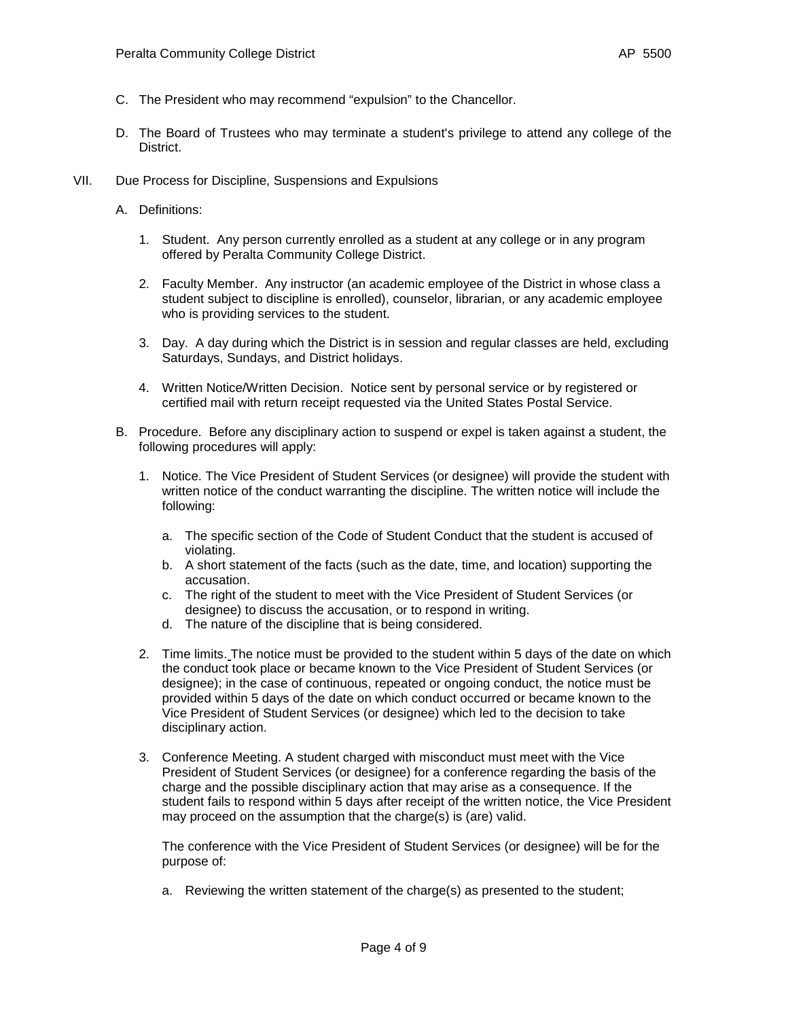- C. The President who may recommend "expulsion" to the Chancellor.
- D. The Board of Trustees who may terminate a student's privilege to attend any college of the District.
- VII. Due Process for Discipline, Suspensions and Expulsions
	- A. Definitions:
		- 1. Student. Any person currently enrolled as a student at any college or in any program offered by Peralta Community College District.
		- 2. Faculty Member. Any instructor (an academic employee of the District in whose class a student subject to discipline is enrolled), counselor, librarian, or any academic employee who is providing services to the student.
		- 3. Day. A day during which the District is in session and regular classes are held, excluding Saturdays, Sundays, and District holidays.
		- 4. Written Notice/Written Decision. Notice sent by personal service or by registered or certified mail with return receipt requested via the United States Postal Service.
	- B. Procedure. Before any disciplinary action to suspend or expel is taken against a student, the following procedures will apply:
		- 1. Notice. The Vice President of Student Services (or designee) will provide the student with written notice of the conduct warranting the discipline. The written notice will include the following:
			- a. The specific section of the Code of Student Conduct that the student is accused of violating.
			- b. A short statement of the facts (such as the date, time, and location) supporting the accusation.
			- c. The right of the student to meet with the Vice President of Student Services (or designee) to discuss the accusation, or to respond in writing.
			- d. The nature of the discipline that is being considered.
		- 2. Time limits. The notice must be provided to the student within 5 days of the date on which the conduct took place or became known to the Vice President of Student Services (or designee); in the case of continuous, repeated or ongoing conduct, the notice must be provided within 5 days of the date on which conduct occurred or became known to the Vice President of Student Services (or designee) which led to the decision to take disciplinary action.
		- 3. Conference Meeting. A student charged with misconduct must meet with the Vice President of Student Services (or designee) for a conference regarding the basis of the charge and the possible disciplinary action that may arise as a consequence. If the student fails to respond within 5 days after receipt of the written notice, the Vice President may proceed on the assumption that the charge(s) is (are) valid.

The conference with the Vice President of Student Services (or designee) will be for the purpose of:

a. Reviewing the written statement of the charge(s) as presented to the student;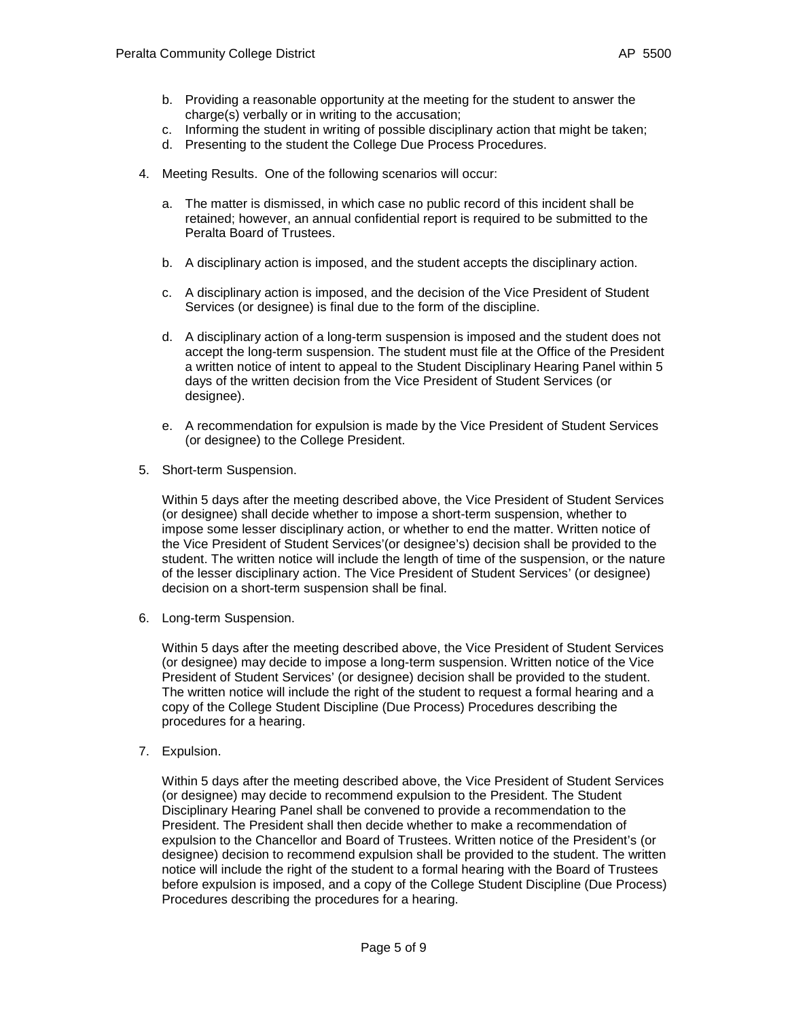- b. Providing a reasonable opportunity at the meeting for the student to answer the charge(s) verbally or in writing to the accusation;
- c. Informing the student in writing of possible disciplinary action that might be taken;
- d. Presenting to the student the College Due Process Procedures.
- 4. Meeting Results. One of the following scenarios will occur:
	- a. The matter is dismissed, in which case no public record of this incident shall be retained; however, an annual confidential report is required to be submitted to the Peralta Board of Trustees.
	- b. A disciplinary action is imposed, and the student accepts the disciplinary action.
	- c. A disciplinary action is imposed, and the decision of the Vice President of Student Services (or designee) is final due to the form of the discipline.
	- d. A disciplinary action of a long-term suspension is imposed and the student does not accept the long-term suspension. The student must file at the Office of the President a written notice of intent to appeal to the Student Disciplinary Hearing Panel within 5 days of the written decision from the Vice President of Student Services (or designee).
	- e. A recommendation for expulsion is made by the Vice President of Student Services (or designee) to the College President.
- 5. Short-term Suspension.

Within 5 days after the meeting described above, the Vice President of Student Services (or designee) shall decide whether to impose a short-term suspension, whether to impose some lesser disciplinary action, or whether to end the matter. Written notice of the Vice President of Student Services'(or designee's) decision shall be provided to the student. The written notice will include the length of time of the suspension, or the nature of the lesser disciplinary action. The Vice President of Student Services' (or designee) decision on a short-term suspension shall be final.

6. Long-term Suspension.

Within 5 days after the meeting described above, the Vice President of Student Services (or designee) may decide to impose a long-term suspension. Written notice of the Vice President of Student Services' (or designee) decision shall be provided to the student. The written notice will include the right of the student to request a formal hearing and a copy of the College Student Discipline (Due Process) Procedures describing the procedures for a hearing.

7. Expulsion.

Within 5 days after the meeting described above, the Vice President of Student Services (or designee) may decide to recommend expulsion to the President. The Student Disciplinary Hearing Panel shall be convened to provide a recommendation to the President. The President shall then decide whether to make a recommendation of expulsion to the Chancellor and Board of Trustees. Written notice of the President's (or designee) decision to recommend expulsion shall be provided to the student. The written notice will include the right of the student to a formal hearing with the Board of Trustees before expulsion is imposed, and a copy of the College Student Discipline (Due Process) Procedures describing the procedures for a hearing.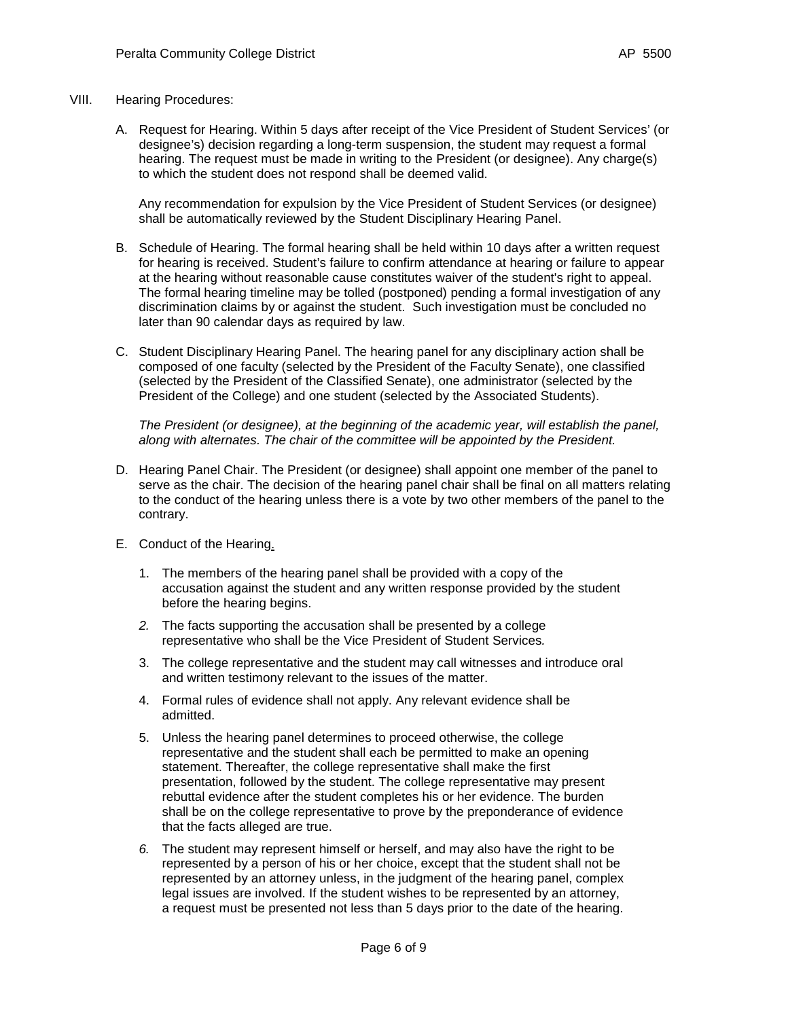## VIII. Hearing Procedures:

A. Request for Hearing. Within 5 days after receipt of the Vice President of Student Services' (or designee's) decision regarding a long-term suspension, the student may request a formal hearing. The request must be made in writing to the President (or designee). Any charge(s) to which the student does not respond shall be deemed valid.

Any recommendation for expulsion by the Vice President of Student Services (or designee) shall be automatically reviewed by the Student Disciplinary Hearing Panel.

- B. Schedule of Hearing. The formal hearing shall be held within 10 days after a written request for hearing is received. Student's failure to confirm attendance at hearing or failure to appear at the hearing without reasonable cause constitutes waiver of the student's right to appeal. The formal hearing timeline may be tolled (postponed) pending a formal investigation of any discrimination claims by or against the student. Such investigation must be concluded no later than 90 calendar days as required by law.
- C. Student Disciplinary Hearing Panel. The hearing panel for any disciplinary action shall be composed of one faculty (selected by the President of the Faculty Senate), one classified (selected by the President of the Classified Senate), one administrator (selected by the President of the College) and one student (selected by the Associated Students).

*The President (or designee), at the beginning of the academic year, will establish the panel, along with alternates. The chair of the committee will be appointed by the President.*

- D. Hearing Panel Chair. The President (or designee) shall appoint one member of the panel to serve as the chair. The decision of the hearing panel chair shall be final on all matters relating to the conduct of the hearing unless there is a vote by two other members of the panel to the contrary.
- E. Conduct of the Hearing.
	- 1. The members of the hearing panel shall be provided with a copy of the accusation against the student and any written response provided by the student before the hearing begins.
	- *2.* The facts supporting the accusation shall be presented by a college representative who shall be the Vice President of Student Services*.*
	- 3. The college representative and the student may call witnesses and introduce oral and written testimony relevant to the issues of the matter.
	- 4. Formal rules of evidence shall not apply. Any relevant evidence shall be admitted.
	- 5. Unless the hearing panel determines to proceed otherwise, the college representative and the student shall each be permitted to make an opening statement. Thereafter, the college representative shall make the first presentation, followed by the student. The college representative may present rebuttal evidence after the student completes his or her evidence. The burden shall be on the college representative to prove by the preponderance of evidence that the facts alleged are true.
	- *6.* The student may represent himself or herself, and may also have the right to be represented by a person of his or her choice, except that the student shall not be represented by an attorney unless, in the judgment of the hearing panel, complex legal issues are involved. If the student wishes to be represented by an attorney, a request must be presented not less than 5 days prior to the date of the hearing.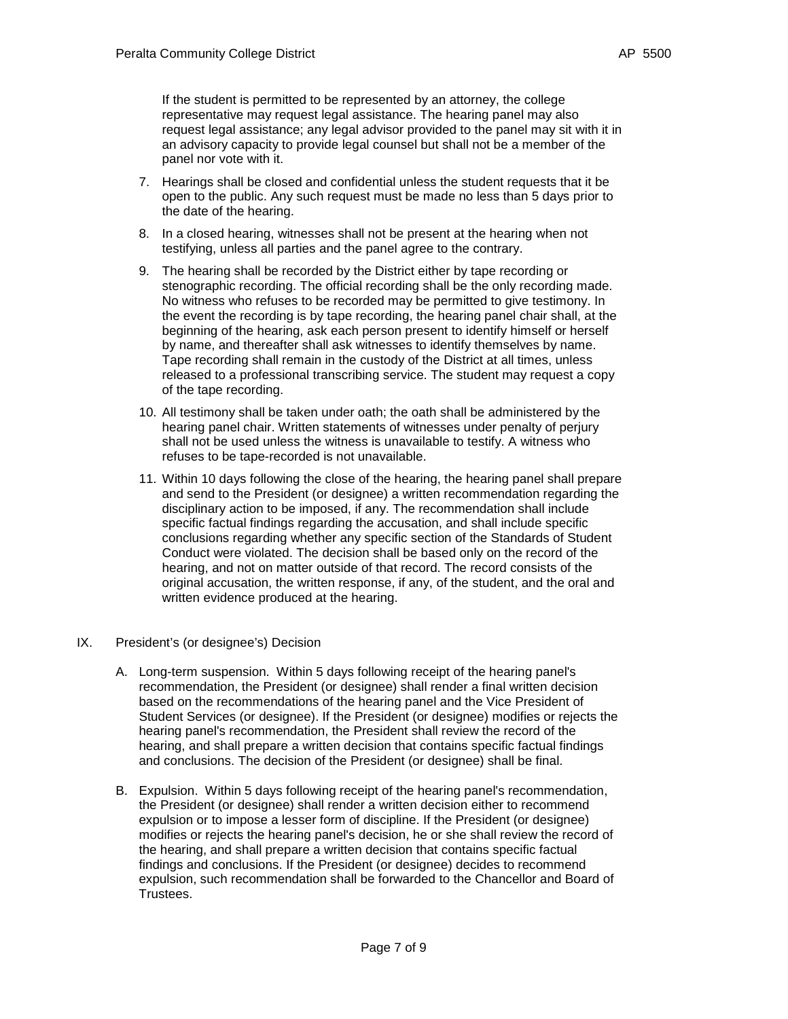If the student is permitted to be represented by an attorney, the college representative may request legal assistance. The hearing panel may also request legal assistance; any legal advisor provided to the panel may sit with it in an advisory capacity to provide legal counsel but shall not be a member of the panel nor vote with it.

- 7. Hearings shall be closed and confidential unless the student requests that it be open to the public. Any such request must be made no less than 5 days prior to the date of the hearing.
- 8. In a closed hearing, witnesses shall not be present at the hearing when not testifying, unless all parties and the panel agree to the contrary.
- 9. The hearing shall be recorded by the District either by tape recording or stenographic recording. The official recording shall be the only recording made. No witness who refuses to be recorded may be permitted to give testimony. In the event the recording is by tape recording, the hearing panel chair shall, at the beginning of the hearing, ask each person present to identify himself or herself by name, and thereafter shall ask witnesses to identify themselves by name. Tape recording shall remain in the custody of the District at all times, unless released to a professional transcribing service. The student may request a copy of the tape recording.
- 10. All testimony shall be taken under oath; the oath shall be administered by the hearing panel chair. Written statements of witnesses under penalty of perjury shall not be used unless the witness is unavailable to testify. A witness who refuses to be tape-recorded is not unavailable.
- 11. Within 10 days following the close of the hearing, the hearing panel shall prepare and send to the President (or designee) a written recommendation regarding the disciplinary action to be imposed, if any. The recommendation shall include specific factual findings regarding the accusation, and shall include specific conclusions regarding whether any specific section of the Standards of Student Conduct were violated. The decision shall be based only on the record of the hearing, and not on matter outside of that record. The record consists of the original accusation, the written response, if any, of the student, and the oral and written evidence produced at the hearing.
- IX. President's (or designee's) Decision
	- A. Long-term suspension. Within 5 days following receipt of the hearing panel's recommendation, the President (or designee) shall render a final written decision based on the recommendations of the hearing panel and the Vice President of Student Services (or designee). If the President (or designee) modifies or rejects the hearing panel's recommendation, the President shall review the record of the hearing, and shall prepare a written decision that contains specific factual findings and conclusions. The decision of the President (or designee) shall be final.
	- B. Expulsion. Within 5 days following receipt of the hearing panel's recommendation, the President (or designee) shall render a written decision either to recommend expulsion or to impose a lesser form of discipline. If the President (or designee) modifies or rejects the hearing panel's decision, he or she shall review the record of the hearing, and shall prepare a written decision that contains specific factual findings and conclusions. If the President (or designee) decides to recommend expulsion, such recommendation shall be forwarded to the Chancellor and Board of Trustees.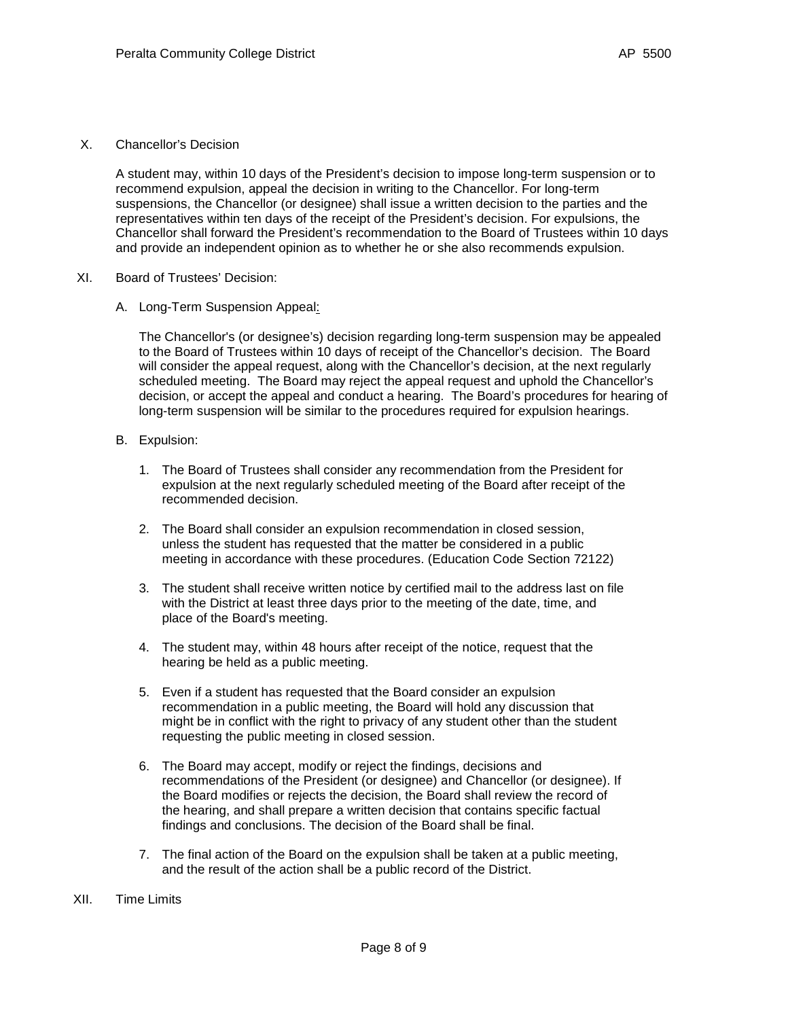X. Chancellor's Decision

A student may, within 10 days of the President's decision to impose long-term suspension or to recommend expulsion, appeal the decision in writing to the Chancellor. For long-term suspensions, the Chancellor (or designee) shall issue a written decision to the parties and the representatives within ten days of the receipt of the President's decision. For expulsions, the Chancellor shall forward the President's recommendation to the Board of Trustees within 10 days and provide an independent opinion as to whether he or she also recommends expulsion.

- XI. Board of Trustees' Decision:
	- A. Long-Term Suspension Appeal:

The Chancellor's (or designee's) decision regarding long-term suspension may be appealed to the Board of Trustees within 10 days of receipt of the Chancellor's decision. The Board will consider the appeal request, along with the Chancellor's decision, at the next regularly scheduled meeting. The Board may reject the appeal request and uphold the Chancellor's decision, or accept the appeal and conduct a hearing. The Board's procedures for hearing of long-term suspension will be similar to the procedures required for expulsion hearings.

- B. Expulsion:
	- 1. The Board of Trustees shall consider any recommendation from the President for expulsion at the next regularly scheduled meeting of the Board after receipt of the recommended decision.
	- 2. The Board shall consider an expulsion recommendation in closed session, unless the student has requested that the matter be considered in a public meeting in accordance with these procedures. (Education Code Section 72122)
	- 3. The student shall receive written notice by certified mail to the address last on file with the District at least three days prior to the meeting of the date, time, and place of the Board's meeting.
	- 4. The student may, within 48 hours after receipt of the notice, request that the hearing be held as a public meeting.
	- 5. Even if a student has requested that the Board consider an expulsion recommendation in a public meeting, the Board will hold any discussion that might be in conflict with the right to privacy of any student other than the student requesting the public meeting in closed session.
	- 6. The Board may accept, modify or reject the findings, decisions and recommendations of the President (or designee) and Chancellor (or designee). If the Board modifies or rejects the decision, the Board shall review the record of the hearing, and shall prepare a written decision that contains specific factual findings and conclusions. The decision of the Board shall be final.
	- 7. The final action of the Board on the expulsion shall be taken at a public meeting, and the result of the action shall be a public record of the District.
- XII. Time Limits